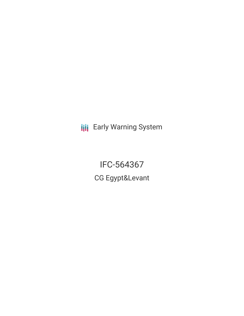**III** Early Warning System

IFC-564367 CG Egypt&Levant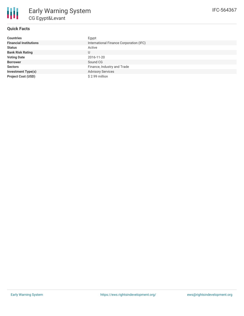

# **Quick Facts**

| <b>Countries</b>              | Egypt                                   |
|-------------------------------|-----------------------------------------|
| <b>Financial Institutions</b> | International Finance Corporation (IFC) |
| <b>Status</b>                 | Active                                  |
| <b>Bank Risk Rating</b>       | U                                       |
| <b>Voting Date</b>            | 2016-11-20                              |
| <b>Borrower</b>               | Sound CG                                |
| <b>Sectors</b>                | Finance, Industry and Trade             |
| <b>Investment Type(s)</b>     | <b>Advisory Services</b>                |
| <b>Project Cost (USD)</b>     | \$2.99 million                          |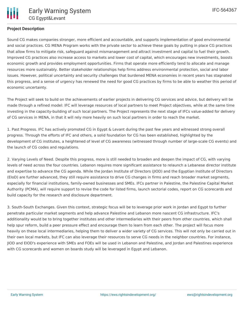## **Project Description**

Sound CG makes companies stronger, more efficient and accountable, and supports implementation of good environmental and social practices. CG MENA Program works with the private sector to achieve these goals by putting in place CG practices that allow firms to mitigate risk, safeguard against mismanagement and attract investment and capital to fuel their growth. Improved CG practices also increase access to markets and lower cost of capital, which encourages new investments, boosts economic growth and provides employment opportunities. Firms that operate more efficiently tend to allocate and manage resources more sustainably. Better stakeholder relationships help firms address environmental protection, social and labor issues. However, political uncertainty and security challenges that burdened MENA economies in recent years has stagnated this progress, and a sense of urgency has renewed the need for good CG practices by firms to be able to weather this period of economic uncertainty.

The Project will seek to build on the achievements of earlier projects in delivering CG services and advice, but delivery will be made through a refined model: IFC will leverage resources of local partners to meet Project objectives, while at the same time investing in the capacity-building of such local partners. The Project represents the next stage of IFCs value-added for delivery of CG services in MENA, in that it will rely more heavily on such local partners in order to reach the market.

1. Past Progress. IFC has actively promoted CG in Egypt & Levant during the past few years and witnessed strong overall progress. Through the efforts of IFC and others, a solid foundation for CG has been established, highlighted by the development of CG institutes, a heightened of level of CG awareness (witnessed through number of large-scale CG events) and the launch of CG codes and regulations.

2. Varying Levels of Need. Despite this progress, more is still needed to broaden and deepen the impact of CG, with varying levels of need across the four countries. Lebanon requires more significant assistance to relaunch a Lebanese director institute and expertise to advance the CG agenda. While the Jordan Institute of Directors (JIOD) and the Egyptian Institute of Directors (EIoD) are further advanced, they still require assistance to drive CG changes in firms and reach broader market segments, especially for financial institutions, family-owned businesses and SMEs. IFCs partner in Palestine, the Palestine Capital Market Authority (PCMA), will require support to revise the code for listed firms, launch sectorial codes, report on CG scorecards and build capacity for the research and disclosure department.

3. South-South Exchanges. Given this context, strategic focus will be to leverage prior work in Jordan and Egypt to further penetrate particular market segments and help advance Palestine and Lebanon more nascent CG infrastructure. IFC's additionality would be to bring together institutes and other intermediaries with their peers from other countries, which shall help spur reform, build a peer pressure effect and encourage them to learn from each other. The project will focus more heavily on these local intermediaries, helping them to deliver a wider variety of CG services. This will not only be carried out in their own local markets, but IFC can also leverage their resources to serve CG needs in the neighbor countries. For instance, JIOD and EIOD's experience with SMEs and FOEs will be used in Lebanon and Palestine, and Jordan and Palestines experience with CG scorecards and women on boards study will be leveraged in Egypt and Lebanon.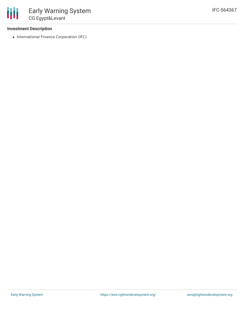### **Investment Description**

• International Finance Corporation (IFC)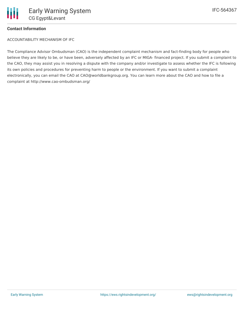### **Contact Information**

ACCOUNTABILITY MECHANISM OF IFC

The Compliance Advisor Ombudsman (CAO) is the independent complaint mechanism and fact-finding body for people who believe they are likely to be, or have been, adversely affected by an IFC or MIGA- financed project. If you submit a complaint to the CAO, they may assist you in resolving a dispute with the company and/or investigate to assess whether the IFC is following its own policies and procedures for preventing harm to people or the environment. If you want to submit a complaint electronically, you can email the CAO at CAO@worldbankgroup.org. You can learn more about the CAO and how to file a complaint at http://www.cao-ombudsman.org/